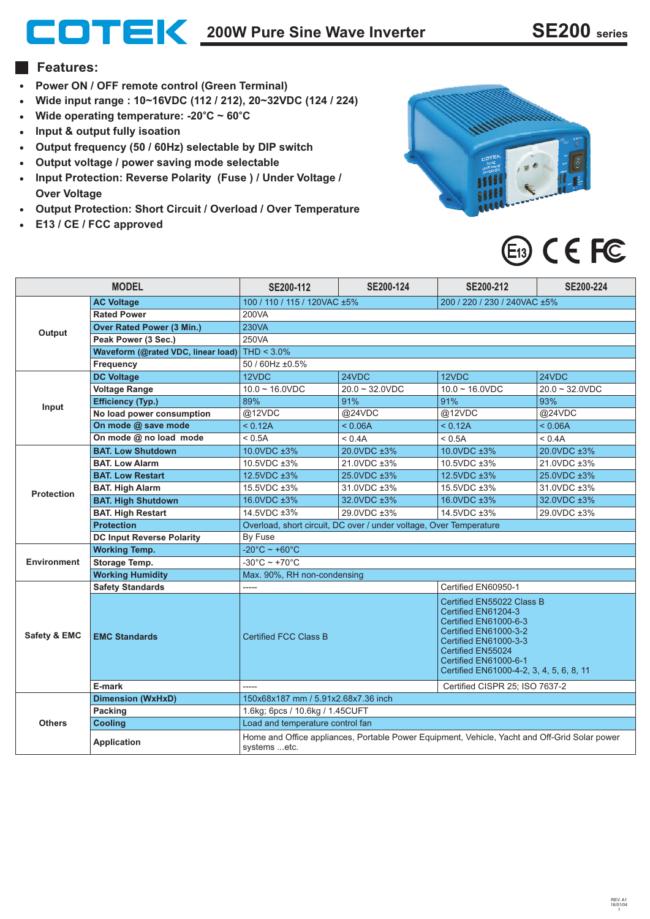# **200W Pure Sine Wave Inverter SE200 series**

#### **Features:**

- **Power ON / OFF remote control (Green Terminal)**
- **Wide input range : 10~16VDC (112 / 212), 20~32VDC (124 / 224) Wide operating temperature: -20 C ~ 60 C** ° °
- 
- **Input & output fully isoation**
- **Output frequency (50 / 60Hz) selectable by DIP switch**
- **Output voltage / power saving mode selectable**
- **Input Protection: Reverse Polarity (Fuse ) / Under Voltage / Over Voltage**
- **Output Protection: Short Circuit / Overload / Over Temperature**
- **E13 / CE / FCC approved**



# E<sub>13</sub> CEFC

| <b>MODEL</b>       |                                    | SE200-112                                                                                                     | SE200-124         | SE200-212                                                                                                                                                                                                             | SE200-224         |
|--------------------|------------------------------------|---------------------------------------------------------------------------------------------------------------|-------------------|-----------------------------------------------------------------------------------------------------------------------------------------------------------------------------------------------------------------------|-------------------|
| <b>AC Voltage</b>  |                                    | 100 / 110 / 115 / 120VAC ±5%                                                                                  |                   | 200 / 220 / 230 / 240VAC ±5%                                                                                                                                                                                          |                   |
| Output             | <b>Rated Power</b>                 | 200VA                                                                                                         |                   |                                                                                                                                                                                                                       |                   |
|                    | <b>Over Rated Power (3 Min.)</b>   | 230VA                                                                                                         |                   |                                                                                                                                                                                                                       |                   |
|                    | Peak Power (3 Sec.)                | 250VA                                                                                                         |                   |                                                                                                                                                                                                                       |                   |
|                    | Waveform (@rated VDC, linear load) | THD $<$ 3.0%                                                                                                  |                   |                                                                                                                                                                                                                       |                   |
|                    | Frequency                          | 50 / 60Hz ±0.5%                                                                                               |                   |                                                                                                                                                                                                                       |                   |
| Input              | <b>DC Voltage</b>                  | 12VDC                                                                                                         | 24VDC             | 12VDC                                                                                                                                                                                                                 | 24VDC             |
|                    | <b>Voltage Range</b>               | $10.0 - 16.0$ VDC                                                                                             | $20.0 - 32.0$ VDC | $10.0 - 16.0$ VDC                                                                                                                                                                                                     | $20.0 - 32.0$ VDC |
|                    | <b>Efficiency (Typ.)</b>           | 89%                                                                                                           | 91%               | 91%                                                                                                                                                                                                                   | 93%               |
|                    | No load power consumption          | @12VDC                                                                                                        | @24VDC            | @12VDC                                                                                                                                                                                                                | @24VDC            |
|                    | On mode @ save mode                | < 0.12A                                                                                                       | < 0.06A           | < 0.12A                                                                                                                                                                                                               | < 0.06A           |
|                    | On mode @ no load mode             | < 0.5A                                                                                                        | < 0.4A            | < 0.5A                                                                                                                                                                                                                | < 0.4A            |
| <b>Protection</b>  | <b>BAT. Low Shutdown</b>           | 10.0VDC ±3%                                                                                                   | 20.0VDC ±3%       | 10.0VDC ±3%                                                                                                                                                                                                           | 20.0VDC ±3%       |
|                    | <b>BAT. Low Alarm</b>              | 10.5VDC ±3%                                                                                                   | 21.0VDC ±3%       | 10.5VDC ±3%                                                                                                                                                                                                           | 21.0VDC ±3%       |
|                    | <b>BAT. Low Restart</b>            | 12.5VDC ±3%                                                                                                   | 25.0VDC ±3%       | 12.5VDC ±3%                                                                                                                                                                                                           | 25.0VDC ±3%       |
|                    | <b>BAT. High Alarm</b>             | 15.5VDC ±3%                                                                                                   | 31.0VDC ±3%       | 15.5VDC ±3%                                                                                                                                                                                                           | 31.0VDC ±3%       |
|                    | <b>BAT. High Shutdown</b>          | 16.0VDC ±3%                                                                                                   | 32.0VDC ±3%       | 16.0VDC ±3%                                                                                                                                                                                                           | 32.0VDC ±3%       |
|                    | <b>BAT. High Restart</b>           | 14.5VDC ±3%                                                                                                   | 29.0VDC ±3%       | 14.5VDC ±3%                                                                                                                                                                                                           | 29.0VDC ±3%       |
|                    | <b>Protection</b>                  | Overload, short circuit, DC over / under voltage, Over Temperature                                            |                   |                                                                                                                                                                                                                       |                   |
|                    | <b>DC Input Reverse Polarity</b>   | By Fuse                                                                                                       |                   |                                                                                                                                                                                                                       |                   |
| <b>Environment</b> | <b>Working Temp.</b>               | $-20^{\circ}$ C ~ +60 $^{\circ}$ C                                                                            |                   |                                                                                                                                                                                                                       |                   |
|                    | Storage Temp.                      | $-30^{\circ}$ C ~ +70 $^{\circ}$ C                                                                            |                   |                                                                                                                                                                                                                       |                   |
|                    | <b>Working Humidity</b>            | Max. 90%, RH non-condensing                                                                                   |                   |                                                                                                                                                                                                                       |                   |
| Safety & EMC       | <b>Safety Standards</b>            | Certified EN60950-1<br>-----                                                                                  |                   |                                                                                                                                                                                                                       |                   |
|                    | <b>EMC Standards</b>               | <b>Certified FCC Class B</b>                                                                                  |                   | Certified EN55022 Class B<br>Certified EN61204-3<br>Certified EN61000-6-3<br>Certified EN61000-3-2<br>Certified EN61000-3-3<br>Certified EN55024<br>Certified EN61000-6-1<br>Certified EN61000-4-2, 3, 4, 5, 6, 8, 11 |                   |
|                    | E-mark                             | -----                                                                                                         |                   | Certified CISPR 25; ISO 7637-2                                                                                                                                                                                        |                   |
| <b>Others</b>      | <b>Dimension (WxHxD)</b>           | 150x68x187 mm / 5.91x2.68x7.36 inch                                                                           |                   |                                                                                                                                                                                                                       |                   |
|                    | <b>Packing</b>                     | 1.6kg; 6pcs / 10.6kg / 1.45CUFT                                                                               |                   |                                                                                                                                                                                                                       |                   |
|                    | <b>Cooling</b>                     | Load and temperature control fan                                                                              |                   |                                                                                                                                                                                                                       |                   |
|                    | <b>Application</b>                 | Home and Office appliances, Portable Power Equipment, Vehicle, Yacht and Off-Grid Solar power<br>systems etc. |                   |                                                                                                                                                                                                                       |                   |